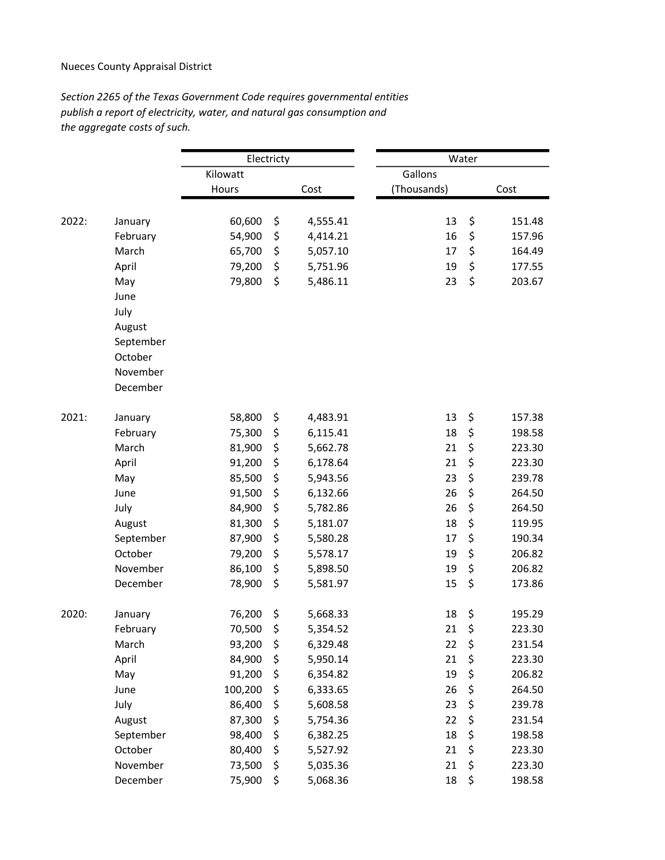## Nueces County Appraisal District

Section 2265 of the Texas Government Code requires governmental entities publish a report of electricity, water, and natural gas consumption and the aggregate costs of such.

|       |           | Electricty |    |          | Water       |    |        |
|-------|-----------|------------|----|----------|-------------|----|--------|
|       |           | Kilowatt   |    |          | Gallons     |    |        |
|       |           | Hours      |    | Cost     | (Thousands) |    | Cost   |
|       |           |            |    |          |             |    |        |
| 2022: | January   | 60,600     | \$ | 4,555.41 | 13          | \$ | 151.48 |
|       | February  | 54,900     | \$ | 4,414.21 | 16          | \$ | 157.96 |
|       | March     | 65,700     | \$ | 5,057.10 | 17          | \$ | 164.49 |
|       | April     | 79,200     | \$ | 5,751.96 | 19          | \$ | 177.55 |
|       | May       | 79,800     | \$ | 5,486.11 | 23          | \$ | 203.67 |
|       | June      |            |    |          |             |    |        |
|       | July      |            |    |          |             |    |        |
|       | August    |            |    |          |             |    |        |
|       | September |            |    |          |             |    |        |
|       | October   |            |    |          |             |    |        |
|       | November  |            |    |          |             |    |        |
|       | December  |            |    |          |             |    |        |
| 2021: | January   | 58,800     | \$ | 4,483.91 | 13          | \$ | 157.38 |
|       | February  | 75,300     | \$ | 6,115.41 | 18          | \$ | 198.58 |
|       | March     | 81,900     | \$ | 5,662.78 | 21          | \$ | 223.30 |
|       | April     | 91,200     | \$ | 6,178.64 | 21          | \$ | 223.30 |
|       | May       | 85,500     | \$ | 5,943.56 | 23          | \$ | 239.78 |
|       | June      | 91,500     | \$ | 6,132.66 | 26          | \$ | 264.50 |
|       | July      | 84,900     | \$ | 5,782.86 | 26          | \$ | 264.50 |
|       | August    | 81,300     | \$ | 5,181.07 | 18          | \$ | 119.95 |
|       | September | 87,900     | \$ | 5,580.28 | 17          | \$ | 190.34 |
|       | October   | 79,200     | \$ | 5,578.17 | 19          | \$ | 206.82 |
|       | November  | 86,100     | \$ | 5,898.50 | 19          | \$ | 206.82 |
|       | December  | 78,900     | \$ | 5,581.97 | 15          | \$ | 173.86 |
| 2020: | January   | 76,200     | \$ | 5,668.33 | 18          | \$ | 195.29 |
|       | February  | 70,500     | \$ | 5,354.52 | 21          | \$ | 223.30 |
|       | March     | 93,200     | \$ | 6,329.48 | 22          | \$ | 231.54 |
|       | April     | 84,900     | \$ | 5,950.14 | 21          | \$ | 223.30 |
|       | May       | 91,200     | \$ | 6,354.82 | 19          | \$ | 206.82 |
|       | June      | 100,200    | \$ | 6,333.65 | 26          | \$ | 264.50 |
|       | July      | 86,400     | \$ | 5,608.58 | 23          | \$ | 239.78 |
|       | August    | 87,300     | \$ | 5,754.36 | 22          | \$ | 231.54 |
|       | September | 98,400     | \$ | 6,382.25 | 18          | \$ | 198.58 |
|       | October   | 80,400     | \$ | 5,527.92 | 21          | \$ | 223.30 |
|       | November  | 73,500     | \$ | 5,035.36 | 21          | \$ | 223.30 |
|       | December  | 75,900     | \$ | 5,068.36 | 18          | \$ | 198.58 |